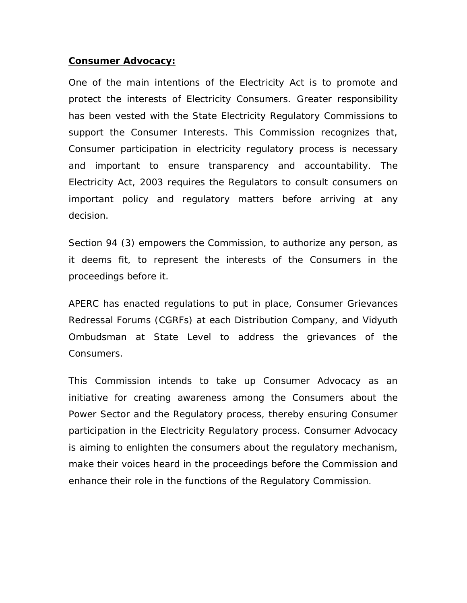## **Consumer Advocacy:**

One of the main intentions of the Electricity Act is to promote and protect the interests of Electricity Consumers. Greater responsibility has been vested with the State Electricity Regulatory Commissions to support the Consumer Interests. This Commission recognizes that, Consumer participation in electricity regulatory process is necessary and important to ensure transparency and accountability. The Electricity Act, 2003 requires the Regulators to consult consumers on important policy and regulatory matters before arriving at any decision.

Section 94 (3) empowers the Commission, to authorize any person, as it deems fit, to represent the interests of the Consumers in the proceedings before it.

APERC has enacted regulations to put in place, Consumer Grievances Redressal Forums (CGRFs) at each Distribution Company, and Vidyuth Ombudsman at State Level to address the grievances of the Consumers.

This Commission intends to take up Consumer Advocacy as an initiative for creating awareness among the Consumers about the Power Sector and the Regulatory process, thereby ensuring Consumer participation in the Electricity Regulatory process. Consumer Advocacy is aiming to enlighten the consumers about the regulatory mechanism, make their voices heard in the proceedings before the Commission and enhance their role in the functions of the Regulatory Commission.